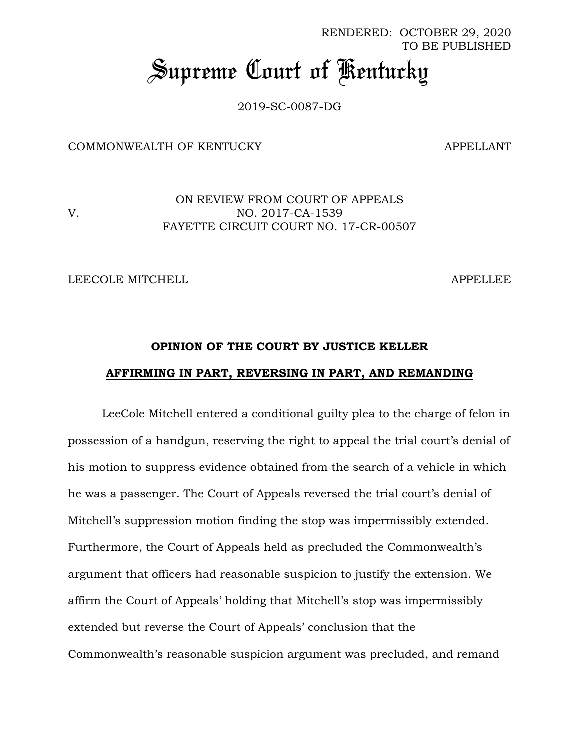RENDERED: OCTOBER 29, 2020 TO BE PUBLISHED *Supreme Court of Kentucky*

2019-SC-0087-DG

COMMONWEALTH OF KENTUCKY APPELLANT

ON REVIEW FROM COURT OF APPEALS V. NO. 2017-CA-1539 FAYETTE CIRCUIT COURT NO. 17-CR-00507

LEECOLE MITCHELL APPELLEE

# **OPINION OF THE COURT BY JUSTICE KELLER AFFIRMING IN PART, REVERSING IN PART, AND REMANDING**

LeeCole Mitchell entered a conditional guilty plea to the charge of felon in possession of a handgun, reserving the right to appeal the trial court's denial of his motion to suppress evidence obtained from the search of a vehicle in which he was a passenger. The Court of Appeals reversed the trial court's denial of Mitchell's suppression motion finding the stop was impermissibly extended. Furthermore, the Court of Appeals held as precluded the Commonwealth's argument that officers had reasonable suspicion to justify the extension. We affirm the Court of Appeals' holding that Mitchell's stop was impermissibly extended but reverse the Court of Appeals' conclusion that the Commonwealth's reasonable suspicion argument was precluded, and remand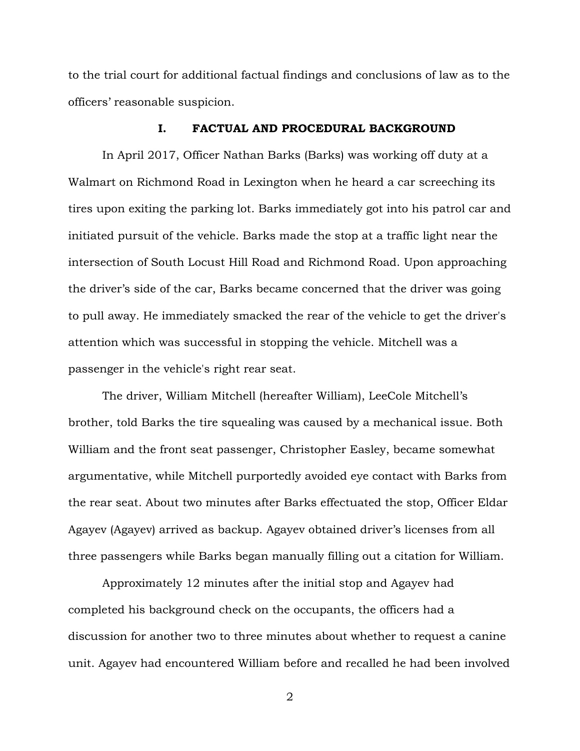to the trial court for additional factual findings and conclusions of law as to the officers' reasonable suspicion.

#### **I. FACTUAL AND PROCEDURAL BACKGROUND**

In April 2017, Officer Nathan Barks (Barks) was working off duty at a Walmart on Richmond Road in Lexington when he heard a car screeching its tires upon exiting the parking lot. Barks immediately got into his patrol car and initiated pursuit of the vehicle. Barks made the stop at a traffic light near the intersection of South Locust Hill Road and Richmond Road. Upon approaching the driver's side of the car, Barks became concerned that the driver was going to pull away. He immediately smacked the rear of the vehicle to get the driver's attention which was successful in stopping the vehicle. Mitchell was a passenger in the vehicle's right rear seat.

The driver, William Mitchell (hereafter William), LeeCole Mitchell's brother, told Barks the tire squealing was caused by a mechanical issue. Both William and the front seat passenger, Christopher Easley, became somewhat argumentative, while Mitchell purportedly avoided eye contact with Barks from the rear seat. About two minutes after Barks effectuated the stop, Officer Eldar Agayev (Agayev) arrived as backup. Agayev obtained driver's licenses from all three passengers while Barks began manually filling out a citation for William.

Approximately 12 minutes after the initial stop and Agayev had completed his background check on the occupants, the officers had a discussion for another two to three minutes about whether to request a canine unit. Agayev had encountered William before and recalled he had been involved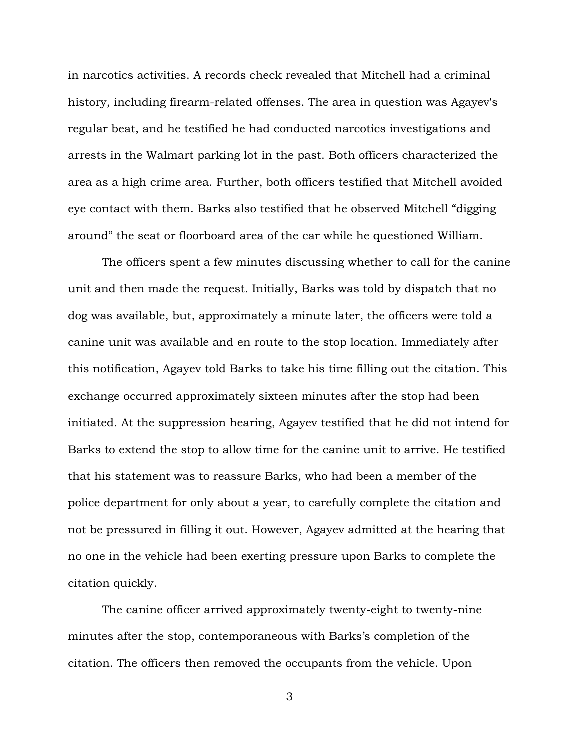in narcotics activities. A records check revealed that Mitchell had a criminal history, including firearm-related offenses. The area in question was Agayev's regular beat, and he testified he had conducted narcotics investigations and arrests in the Walmart parking lot in the past. Both officers characterized the area as a high crime area. Further, both officers testified that Mitchell avoided eye contact with them. Barks also testified that he observed Mitchell "digging around" the seat or floorboard area of the car while he questioned William.

The officers spent a few minutes discussing whether to call for the canine unit and then made the request. Initially, Barks was told by dispatch that no dog was available, but, approximately a minute later, the officers were told a canine unit was available and en route to the stop location. Immediately after this notification, Agayev told Barks to take his time filling out the citation. This exchange occurred approximately sixteen minutes after the stop had been initiated. At the suppression hearing, Agayev testified that he did not intend for Barks to extend the stop to allow time for the canine unit to arrive. He testified that his statement was to reassure Barks, who had been a member of the police department for only about a year, to carefully complete the citation and not be pressured in filling it out. However, Agayev admitted at the hearing that no one in the vehicle had been exerting pressure upon Barks to complete the citation quickly.

The canine officer arrived approximately twenty-eight to twenty-nine minutes after the stop, contemporaneous with Barks's completion of the citation. The officers then removed the occupants from the vehicle. Upon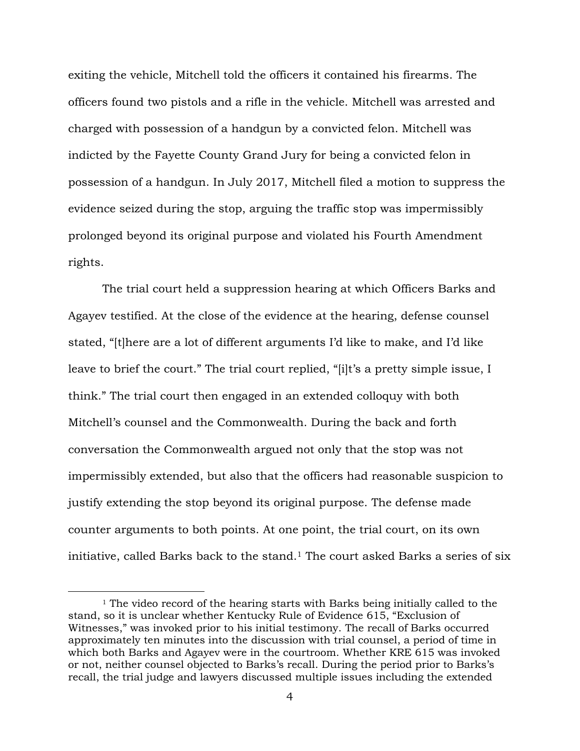exiting the vehicle, Mitchell told the officers it contained his firearms. The officers found two pistols and a rifle in the vehicle. Mitchell was arrested and charged with possession of a handgun by a convicted felon. Mitchell was indicted by the Fayette County Grand Jury for being a convicted felon in possession of a handgun. In July 2017, Mitchell filed a motion to suppress the evidence seized during the stop, arguing the traffic stop was impermissibly prolonged beyond its original purpose and violated his Fourth Amendment rights.

The trial court held a suppression hearing at which Officers Barks and Agayev testified. At the close of the evidence at the hearing, defense counsel stated, "[t]here are a lot of different arguments I'd like to make, and I'd like leave to brief the court." The trial court replied, "[i]t's a pretty simple issue, I think." The trial court then engaged in an extended colloquy with both Mitchell's counsel and the Commonwealth. During the back and forth conversation the Commonwealth argued not only that the stop was not impermissibly extended, but also that the officers had reasonable suspicion to justify extending the stop beyond its original purpose. The defense made counter arguments to both points. At one point, the trial court, on its own initiative, called Barks back to the stand.<sup>1</sup> The court asked Barks a series of six

<sup>&</sup>lt;sup>1</sup> The video record of the hearing starts with Barks being initially called to the stand, so it is unclear whether Kentucky Rule of Evidence 615, "Exclusion of Witnesses," was invoked prior to his initial testimony. The recall of Barks occurred approximately ten minutes into the discussion with trial counsel, a period of time in which both Barks and Agayev were in the courtroom. Whether KRE 615 was invoked or not, neither counsel objected to Barks's recall. During the period prior to Barks's recall, the trial judge and lawyers discussed multiple issues including the extended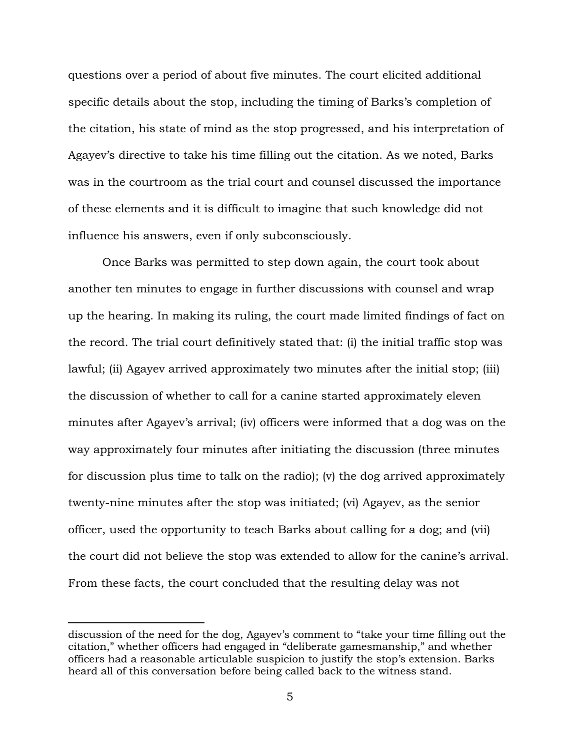questions over a period of about five minutes. The court elicited additional specific details about the stop, including the timing of Barks's completion of the citation, his state of mind as the stop progressed, and his interpretation of Agayev's directive to take his time filling out the citation. As we noted, Barks was in the courtroom as the trial court and counsel discussed the importance of these elements and it is difficult to imagine that such knowledge did not influence his answers, even if only subconsciously.

Once Barks was permitted to step down again, the court took about another ten minutes to engage in further discussions with counsel and wrap up the hearing. In making its ruling, the court made limited findings of fact on the record. The trial court definitively stated that: (i) the initial traffic stop was lawful; (ii) Agayev arrived approximately two minutes after the initial stop; (iii) the discussion of whether to call for a canine started approximately eleven minutes after Agayev's arrival; (iv) officers were informed that a dog was on the way approximately four minutes after initiating the discussion (three minutes for discussion plus time to talk on the radio); (v) the dog arrived approximately twenty-nine minutes after the stop was initiated; (vi) Agayev, as the senior officer, used the opportunity to teach Barks about calling for a dog; and (vii) the court did not believe the stop was extended to allow for the canine's arrival. From these facts, the court concluded that the resulting delay was not

discussion of the need for the dog, Agayev's comment to "take your time filling out the citation," whether officers had engaged in "deliberate gamesmanship," and whether officers had a reasonable articulable suspicion to justify the stop's extension. Barks heard all of this conversation before being called back to the witness stand.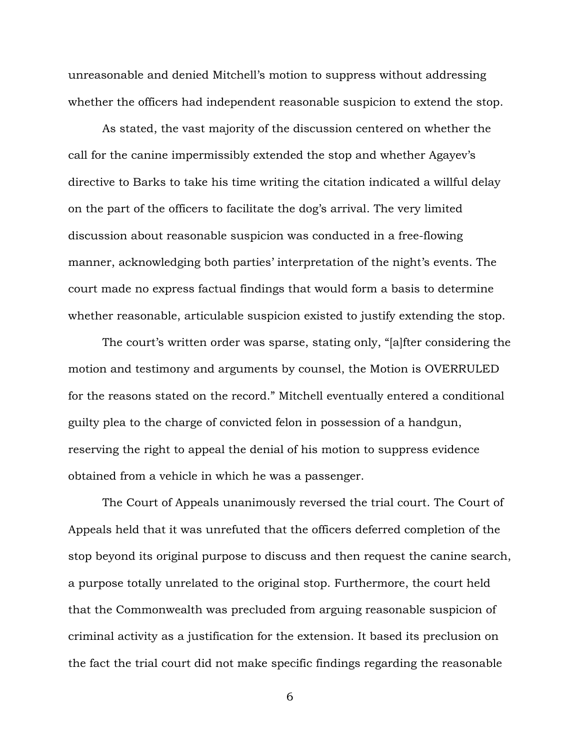unreasonable and denied Mitchell's motion to suppress without addressing whether the officers had independent reasonable suspicion to extend the stop.

As stated, the vast majority of the discussion centered on whether the call for the canine impermissibly extended the stop and whether Agayev's directive to Barks to take his time writing the citation indicated a willful delay on the part of the officers to facilitate the dog's arrival. The very limited discussion about reasonable suspicion was conducted in a free-flowing manner, acknowledging both parties' interpretation of the night's events. The court made no express factual findings that would form a basis to determine whether reasonable, articulable suspicion existed to justify extending the stop.

The court's written order was sparse, stating only, "[a]fter considering the motion and testimony and arguments by counsel, the Motion is OVERRULED for the reasons stated on the record." Mitchell eventually entered a conditional guilty plea to the charge of convicted felon in possession of a handgun, reserving the right to appeal the denial of his motion to suppress evidence obtained from a vehicle in which he was a passenger.

The Court of Appeals unanimously reversed the trial court. The Court of Appeals held that it was unrefuted that the officers deferred completion of the stop beyond its original purpose to discuss and then request the canine search, a purpose totally unrelated to the original stop. Furthermore, the court held that the Commonwealth was precluded from arguing reasonable suspicion of criminal activity as a justification for the extension. It based its preclusion on the fact the trial court did not make specific findings regarding the reasonable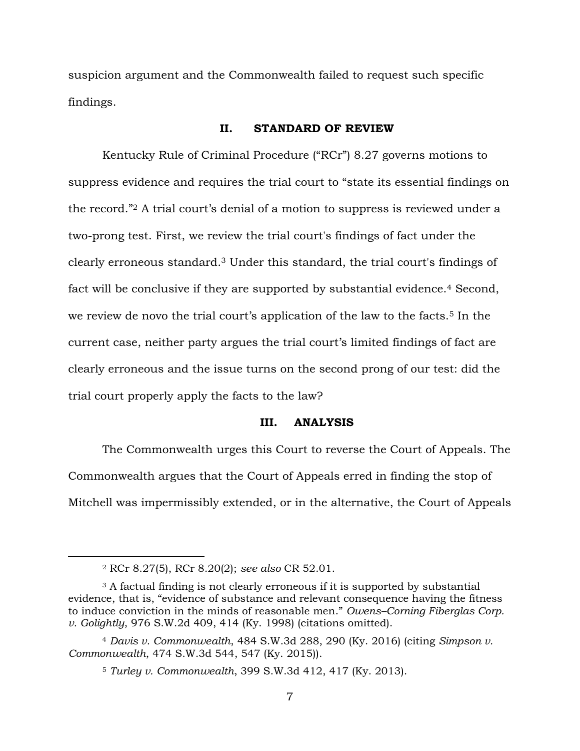suspicion argument and the Commonwealth failed to request such specific findings.

#### **II. STANDARD OF REVIEW**

Kentucky Rule of Criminal Procedure ("RCr") 8.27 governs motions to suppress evidence and requires the trial court to "state its essential findings on the record."<sup>2</sup> A trial court's denial of a motion to suppress is reviewed under a two-prong test. First, we review the trial court's findings of fact under the clearly erroneous standard. <sup>3</sup> Under this standard, the trial court's findings of fact will be conclusive if they are supported by substantial evidence.<sup>4</sup> Second, we review de novo the trial court's application of the law to the facts.<sup>5</sup> In the current case, neither party argues the trial court's limited findings of fact are clearly erroneous and the issue turns on the second prong of our test: did the trial court properly apply the facts to the law?

### **III. ANALYSIS**

The Commonwealth urges this Court to reverse the Court of Appeals. The Commonwealth argues that the Court of Appeals erred in finding the stop of Mitchell was impermissibly extended, or in the alternative, the Court of Appeals

<sup>2</sup> RCr 8.27(5), RCr 8.20(2); *see also* CR 52.01.

<sup>3</sup> A factual finding is not clearly erroneous if it is supported by substantial evidence, that is, "evidence of substance and relevant consequence having the fitness to induce conviction in the minds of reasonable men." *Owens–Corning Fiberglas Corp. v. Golightly*, 976 S.W.2d 409, 414 (Ky. 1998) (citations omitted).

<sup>4</sup> *Davis v. Commonwealth*, 484 S.W.3d 288, 290 (Ky. 2016) (citing *Simpson v. Commonwealth*, 474 S.W.3d 544, 547 (Ky. 2015)).

<sup>5</sup> *Turley v. Commonwealth*, 399 S.W.3d 412, 417 (Ky. 2013).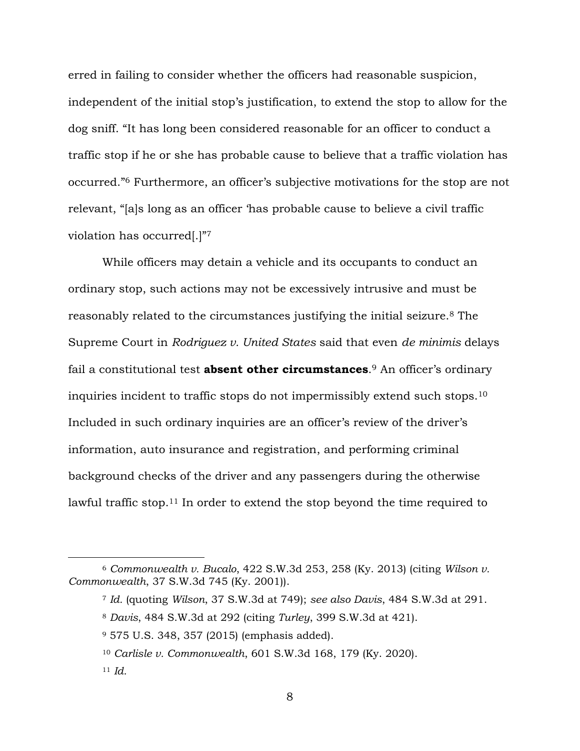erred in failing to consider whether the officers had reasonable suspicion, independent of the initial stop's justification, to extend the stop to allow for the dog sniff. "It has long been considered reasonable for an officer to conduct a traffic stop if he or she has probable cause to believe that a traffic violation has occurred."<sup>6</sup> Furthermore, an officer's subjective motivations for the stop are not relevant, "[a]s long as an officer 'has probable cause to believe a civil traffic violation has occurred[.]" 7

While officers may detain a vehicle and its occupants to conduct an ordinary stop, such actions may not be excessively intrusive and must be reasonably related to the circumstances justifying the initial seizure.<sup>8</sup> The Supreme Court in *Rodriguez v. United States* said that even *de minimis* delays fail a constitutional test **absent other circumstances**. <sup>9</sup> An officer's ordinary inquiries incident to traffic stops do not impermissibly extend such stops.<sup>10</sup> Included in such ordinary inquiries are an officer's review of the driver's information, auto insurance and registration, and performing criminal background checks of the driver and any passengers during the otherwise lawful traffic stop.<sup>11</sup> In order to extend the stop beyond the time required to

<sup>6</sup> *Commonwealth v. Bucalo*, 422 S.W.3d 253, 258 (Ky. 2013) (citing *Wilson v. Commonwealth*, 37 S.W.3d 745 (Ky. 2001)).

<sup>7</sup> *Id.* (quoting *Wilson*, 37 S.W.3d at 749); *see also Davis*, 484 S.W.3d at 291.

<sup>8</sup> *Davis*, 484 S.W.3d at 292 (citing *Turley*, 399 S.W.3d at 421).

<sup>9</sup> 575 U.S. 348, 357 (2015) (emphasis added).

<sup>10</sup> *Carlisle v. Commonwealth*, 601 S.W.3d 168, 179 (Ky. 2020).

<sup>11</sup> *Id.*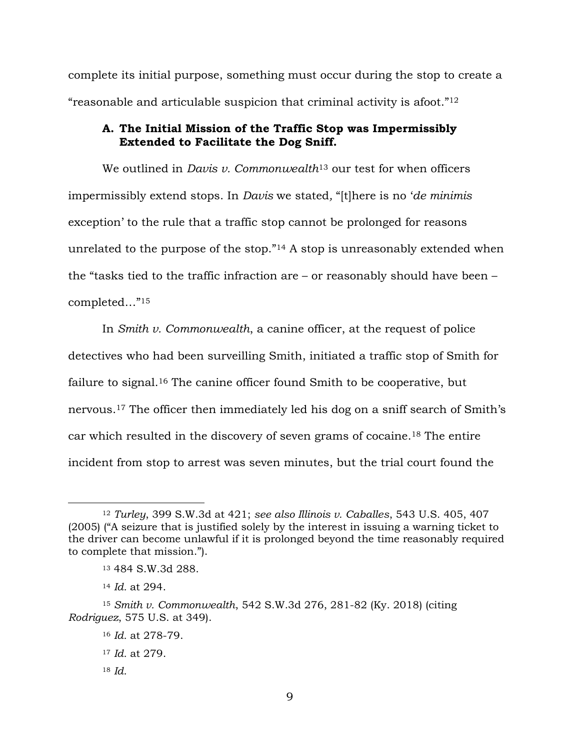complete its initial purpose, something must occur during the stop to create a "reasonable and articulable suspicion that criminal activity is afoot."<sup>12</sup>

## **A. The Initial Mission of the Traffic Stop was Impermissibly Extended to Facilitate the Dog Sniff.**

We outlined in *Davis v. Commonwealth*<sup>13</sup> our test for when officers impermissibly extend stops. In *Davis* we stated*,* "[t]here is no '*de minimis* exception' to the rule that a traffic stop cannot be prolonged for reasons unrelated to the purpose of the stop."<sup>14</sup> A stop is unreasonably extended when the "tasks tied to the traffic infraction are – or reasonably should have been – completed…"<sup>15</sup>

In *Smith v. Commonwealth*, a canine officer, at the request of police detectives who had been surveilling Smith, initiated a traffic stop of Smith for failure to signal.<sup>16</sup> The canine officer found Smith to be cooperative, but nervous.<sup>17</sup> The officer then immediately led his dog on a sniff search of Smith's car which resulted in the discovery of seven grams of cocaine.<sup>18</sup> The entire incident from stop to arrest was seven minutes, but the trial court found the

<sup>12</sup> *Turley*, 399 S.W.3d at 421; *see also Illinois v. Caballes*, 543 U.S. 405, 407 (2005) ("A seizure that is justified solely by the interest in issuing a warning ticket to the driver can become unlawful if it is prolonged beyond the time reasonably required to complete that mission.").

<sup>13</sup> 484 S.W.3d 288.

<sup>14</sup> *Id.* at 294.

<sup>15</sup> *Smith v. Commonwealth*, 542 S.W.3d 276, 281-82 (Ky. 2018) (citing *Rodriguez*, 575 U.S. at 349).

<sup>16</sup> *Id.* at 278-79.

<sup>17</sup> *Id.* at 279.

<sup>18</sup> *Id.*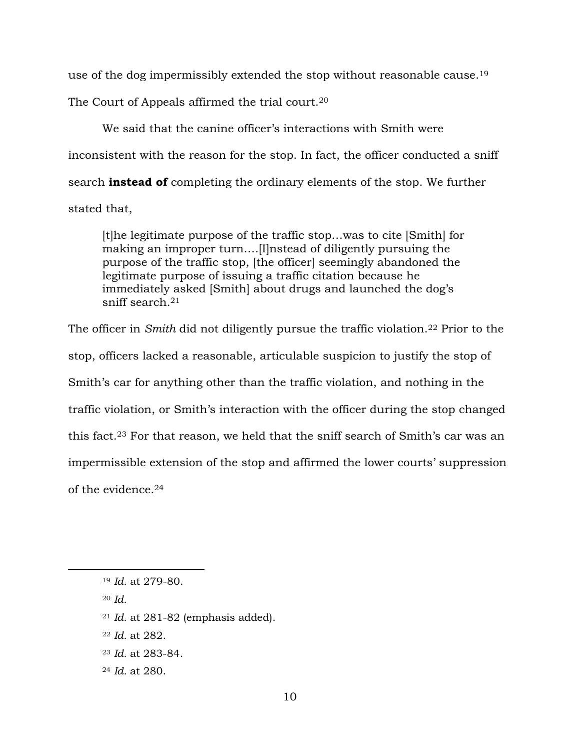use of the dog impermissibly extended the stop without reasonable cause.<sup>19</sup>

The Court of Appeals affirmed the trial court.<sup>20</sup>

We said that the canine officer's interactions with Smith were inconsistent with the reason for the stop. In fact, the officer conducted a sniff search **instead of** completing the ordinary elements of the stop. We further stated that,

[t]he legitimate purpose of the traffic stop…was to cite [Smith] for making an improper turn….[I]nstead of diligently pursuing the purpose of the traffic stop, [the officer] seemingly abandoned the legitimate purpose of issuing a traffic citation because he immediately asked [Smith] about drugs and launched the dog's sniff search.<sup>21</sup>

The officer in *Smith* did not diligently pursue the traffic violation.<sup>22</sup> Prior to the stop, officers lacked a reasonable, articulable suspicion to justify the stop of Smith's car for anything other than the traffic violation, and nothing in the traffic violation, or Smith's interaction with the officer during the stop changed this fact.<sup>23</sup> For that reason, we held that the sniff search of Smith's car was an impermissible extension of the stop and affirmed the lower courts' suppression of the evidence.<sup>24</sup>

<sup>20</sup> *Id.*

- <sup>21</sup> *Id.* at 281-82 (emphasis added).
- <sup>22</sup> *Id.* at 282.
- <sup>23</sup> *Id.* at 283-84.
- <sup>24</sup> *Id.* at 280.

<sup>19</sup> *Id.* at 279-80.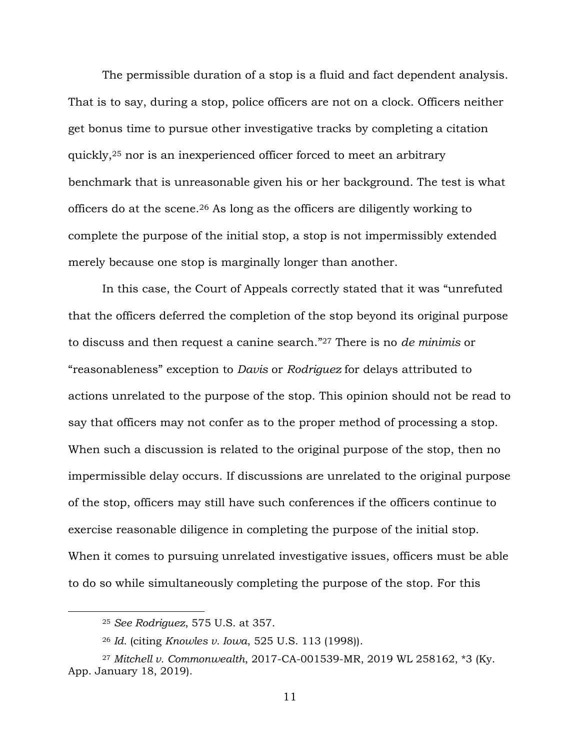The permissible duration of a stop is a fluid and fact dependent analysis. That is to say, during a stop, police officers are not on a clock. Officers neither get bonus time to pursue other investigative tracks by completing a citation quickly,<sup>25</sup> nor is an inexperienced officer forced to meet an arbitrary benchmark that is unreasonable given his or her background. The test is what officers do at the scene.<sup>26</sup> As long as the officers are diligently working to complete the purpose of the initial stop, a stop is not impermissibly extended merely because one stop is marginally longer than another.

In this case, the Court of Appeals correctly stated that it was "unrefuted that the officers deferred the completion of the stop beyond its original purpose to discuss and then request a canine search."<sup>27</sup> There is no *de minimis* or "reasonableness" exception to *Davis* or *Rodriguez* for delays attributed to actions unrelated to the purpose of the stop. This opinion should not be read to say that officers may not confer as to the proper method of processing a stop. When such a discussion is related to the original purpose of the stop, then no impermissible delay occurs. If discussions are unrelated to the original purpose of the stop, officers may still have such conferences if the officers continue to exercise reasonable diligence in completing the purpose of the initial stop. When it comes to pursuing unrelated investigative issues, officers must be able to do so while simultaneously completing the purpose of the stop. For this

 $\overline{a}$ 

<sup>25</sup> *See Rodriguez*, 575 U.S. at 357.

<sup>26</sup> *Id.* (citing *Knowles v. Iowa*, 525 U.S. 113 (1998)).

<sup>27</sup> *Mitchell v. Commonwealth*, 2017-CA-001539-MR, 2019 WL 258162, \*3 (Ky. App. January 18, 2019).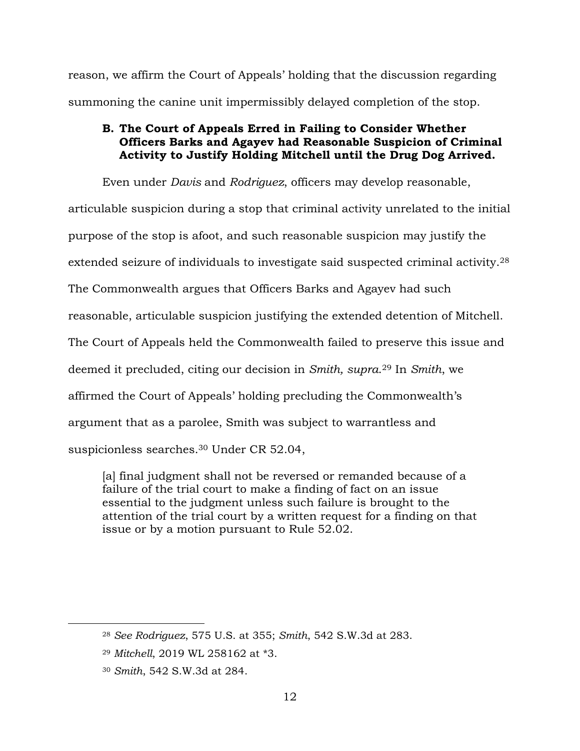reason, we affirm the Court of Appeals' holding that the discussion regarding summoning the canine unit impermissibly delayed completion of the stop.

# **B. The Court of Appeals Erred in Failing to Consider Whether Officers Barks and Agayev had Reasonable Suspicion of Criminal Activity to Justify Holding Mitchell until the Drug Dog Arrived.**

Even under *Davis* and *Rodriguez*, officers may develop reasonable,

articulable suspicion during a stop that criminal activity unrelated to the initial purpose of the stop is afoot, and such reasonable suspicion may justify the extended seizure of individuals to investigate said suspected criminal activity. 28 The Commonwealth argues that Officers Barks and Agayev had such reasonable, articulable suspicion justifying the extended detention of Mitchell. The Court of Appeals held the Commonwealth failed to preserve this issue and deemed it precluded, citing our decision in *Smith, supra*. <sup>29</sup> In *Smith*, we affirmed the Court of Appeals' holding precluding the Commonwealth's argument that as a parolee, Smith was subject to warrantless and suspicionless searches. <sup>30</sup> Under CR 52.04,

[a] final judgment shall not be reversed or remanded because of a failure of the trial court to make a finding of fact on an issue essential to the judgment unless such failure is brought to the attention of the trial court by a written request for a finding on that issue or by a motion pursuant to Rule 52.02.

<sup>28</sup> *See Rodriguez*, 575 U.S. at 355; *Smith*, 542 S.W.3d at 283.

<sup>29</sup> *Mitchell*, 2019 WL 258162 at \*3.

<sup>30</sup> *Smith*, 542 S.W.3d at 284.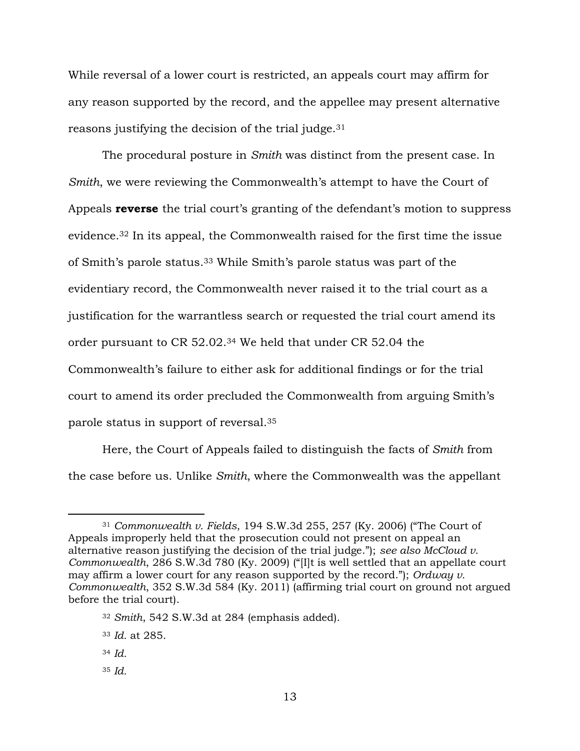While reversal of a lower court is restricted, an appeals court may affirm for any reason supported by the record, and the appellee may present alternative reasons justifying the decision of the trial judge.<sup>31</sup>

The procedural posture in *Smith* was distinct from the present case. In *Smith*, we were reviewing the Commonwealth's attempt to have the Court of Appeals **reverse** the trial court's granting of the defendant's motion to suppress evidence. <sup>32</sup> In its appeal, the Commonwealth raised for the first time the issue of Smith's parole status.<sup>33</sup> While Smith's parole status was part of the evidentiary record, the Commonwealth never raised it to the trial court as a justification for the warrantless search or requested the trial court amend its order pursuant to CR 52.02. <sup>34</sup> We held that under CR 52.04 the Commonwealth's failure to either ask for additional findings or for the trial court to amend its order precluded the Commonwealth from arguing Smith's parole status in support of reversal. 35

Here, the Court of Appeals failed to distinguish the facts of *Smith* from the case before us. Unlike *Smith*, where the Commonwealth was the appellant

<sup>31</sup> *Commonwealth v. Fields*, 194 S.W.3d 255, 257 (Ky. 2006) ("The Court of Appeals improperly held that the prosecution could not present on appeal an alternative reason justifying the decision of the trial judge."); *see also McCloud v. Commonwealth*, 286 S.W.3d 780 (Ky. 2009) ("[I]t is well settled that an appellate court may affirm a lower court for any reason supported by the record."); *Ordway v. Commonwealth*, 352 S.W.3d 584 (Ky. 2011) (affirming trial court on ground not argued before the trial court).

<sup>32</sup> *Smith*, 542 S.W.3d at 284 (emphasis added).

<sup>33</sup> *Id.* at 285.

<sup>34</sup> *Id.* 

<sup>35</sup> *Id.*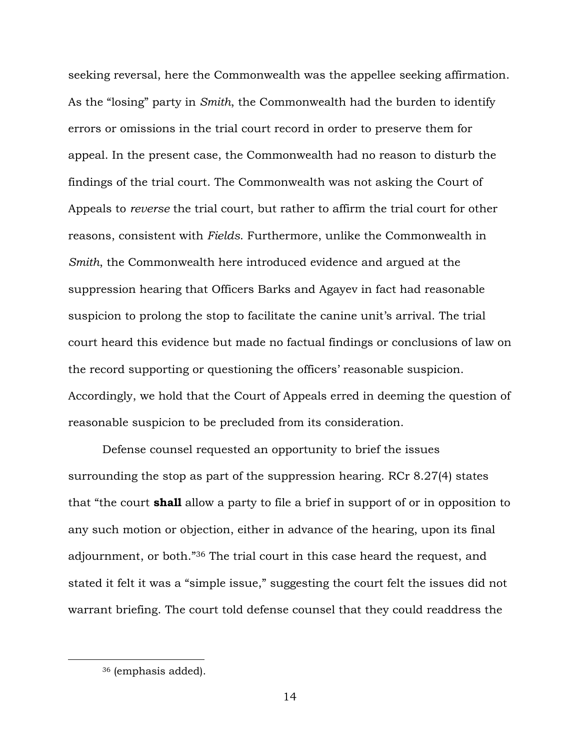seeking reversal, here the Commonwealth was the appellee seeking affirmation. As the "losing" party in *Smith*, the Commonwealth had the burden to identify errors or omissions in the trial court record in order to preserve them for appeal. In the present case, the Commonwealth had no reason to disturb the findings of the trial court. The Commonwealth was not asking the Court of Appeals to *reverse* the trial court, but rather to affirm the trial court for other reasons, consistent with *Fields*. Furthermore, unlike the Commonwealth in *Smith*, the Commonwealth here introduced evidence and argued at the suppression hearing that Officers Barks and Agayev in fact had reasonable suspicion to prolong the stop to facilitate the canine unit's arrival. The trial court heard this evidence but made no factual findings or conclusions of law on the record supporting or questioning the officers' reasonable suspicion. Accordingly, we hold that the Court of Appeals erred in deeming the question of reasonable suspicion to be precluded from its consideration.

Defense counsel requested an opportunity to brief the issues surrounding the stop as part of the suppression hearing. RCr 8.27(4) states that "the court **shall** allow a party to file a brief in support of or in opposition to any such motion or objection, either in advance of the hearing, upon its final adjournment, or both."<sup>36</sup> The trial court in this case heard the request, and stated it felt it was a "simple issue," suggesting the court felt the issues did not warrant briefing. The court told defense counsel that they could readdress the

<sup>36</sup> (emphasis added).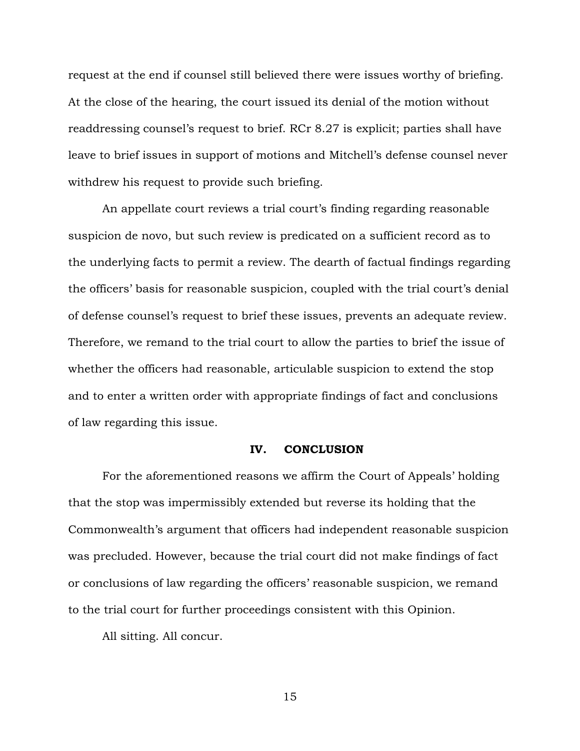request at the end if counsel still believed there were issues worthy of briefing. At the close of the hearing, the court issued its denial of the motion without readdressing counsel's request to brief. RCr 8.27 is explicit; parties shall have leave to brief issues in support of motions and Mitchell's defense counsel never withdrew his request to provide such briefing.

An appellate court reviews a trial court's finding regarding reasonable suspicion de novo, but such review is predicated on a sufficient record as to the underlying facts to permit a review. The dearth of factual findings regarding the officers' basis for reasonable suspicion, coupled with the trial court's denial of defense counsel's request to brief these issues, prevents an adequate review. Therefore, we remand to the trial court to allow the parties to brief the issue of whether the officers had reasonable, articulable suspicion to extend the stop and to enter a written order with appropriate findings of fact and conclusions of law regarding this issue.

### **IV. CONCLUSION**

For the aforementioned reasons we affirm the Court of Appeals' holding that the stop was impermissibly extended but reverse its holding that the Commonwealth's argument that officers had independent reasonable suspicion was precluded. However, because the trial court did not make findings of fact or conclusions of law regarding the officers' reasonable suspicion, we remand to the trial court for further proceedings consistent with this Opinion.

All sitting. All concur.